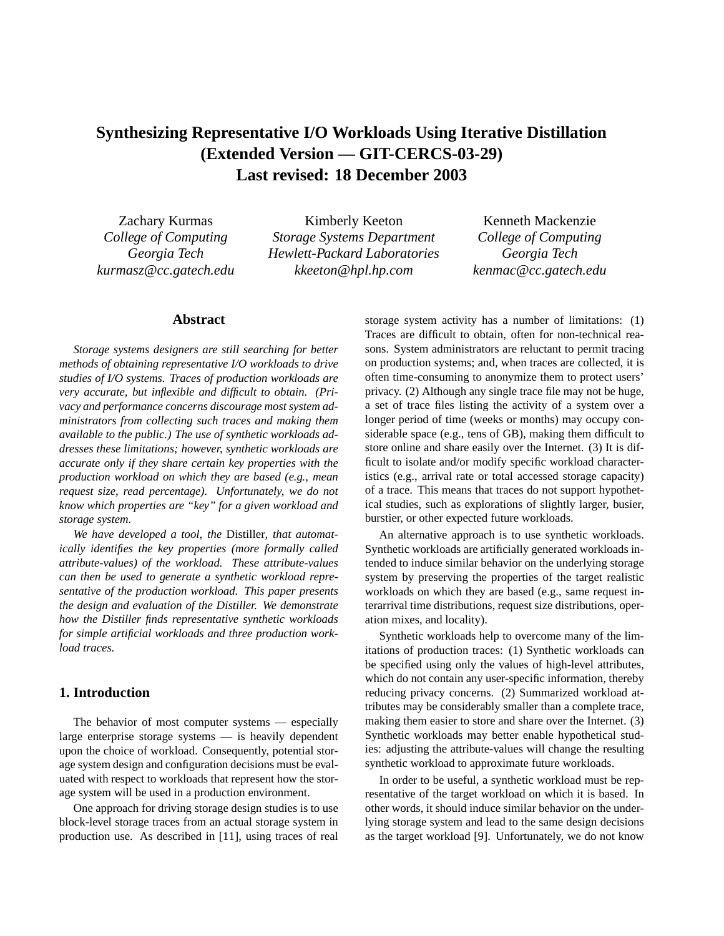# **Synthesizing Representative I/O Workloads Using Iterative Distillation (Extended Version — GIT-CERCS-03-29) Last revised: 18 December 2003**

Zachary Kurmas *College of Computing Georgia Tech kurmasz@cc.gatech.edu*

Kimberly Keeton *Storage Systems Department Hewlett-Packard Laboratories kkeeton@hpl.hp.com*

Kenneth Mackenzie *College of Computing Georgia Tech kenmac@cc.gatech.edu*

### **Abstract**

*Storage systems designers are still searching for better methods of obtaining representative I/O workloads to drive studies of I/O systems. Traces of production workloads are very accurate, but inflexible and difficult to obtain. (Pri-* $\sqrt{v}$  *vacy* and performance concerns discourage most system ad*ministrators from collecting such traces and making them available to the public.) The use of synthetic workloads addresses these limitations; however, synthetic workloads are accurate only if they share certain key properties with the production workload on which they are based (e.g., mean request size, read percentage). Unfortunately, we do not know which properties are "key" for a given workload and storage system.*

*We have developed a tool, the* Distiller*, that automatically identifies the key properties (more formally called attribute-values) of the workload. These attribute-values can then be used to generate a synthetic workload representative of the production workload. This paper presents the design and evaluation of the Distiller. We demonstrate how the Distiller finds representative synthetic workloads for simple artificial workloads and three production workload traces.*

### **1. Introduction**

The behavior of most computer systems — especially large enterprise storage systems — is heavily dependent upon the choice of workload. Consequently, potential storage system design and configuration decisions must be evaluated with respect to workloads that represent how the storage system will be used in a production environment.

One approach for driving storage design studies is to use block-level storage traces from an actual storage system in production use. As described in [11], using traces of real storage system activity has a number of limitations: (1) Traces are difficult to obtain, often for non-technical reasons. System administrators are reluctant to permit tracing on production systems; and, when traces are collected, it is often time-consuming to anonymize them to protect users' privacy. (2) Although any single trace file may not be huge, a set of trace files listing the activity of a system over a longer period of time (weeks or months) may occupy considerable space (e.g., tens of GB), making them difficult to store online and share easily over the Internet. (3) It is difficult to isolate and/or modify specific workload characteristics (e.g., arrival rate or total accessed storage capacity) of a trace. This means that traces do not support hypothetical studies, such as explorations of slightly larger, busier, burstier, or other expected future workloads.

An alternative approach is to use synthetic workloads. Synthetic workloads are artificially generated workloads intended to induce similar behavior on the underlying storage system by preserving the properties of the target realistic workloads on which they are based (e.g., same request interarrival time distributions, request size distributions, operation mixes, and locality).

Synthetic workloads help to overcome many of the limitations of production traces: (1) Synthetic workloads can be specified using only the values of high-level attributes, which do not contain any user-specific information, thereby reducing privacy concerns. (2) Summarized workload attributes may be considerably smaller than a complete trace, making them easier to store and share over the Internet. (3) Synthetic workloads may better enable hypothetical studies: adjusting the attribute-values will change the resulting synthetic workload to approximate future workloads.

In order to be useful, a synthetic workload must be representative of the target workload on which it is based. In other words, it should induce similar behavior on the underlying storage system and lead to the same design decisions as the target workload [9]. Unfortunately, we do not know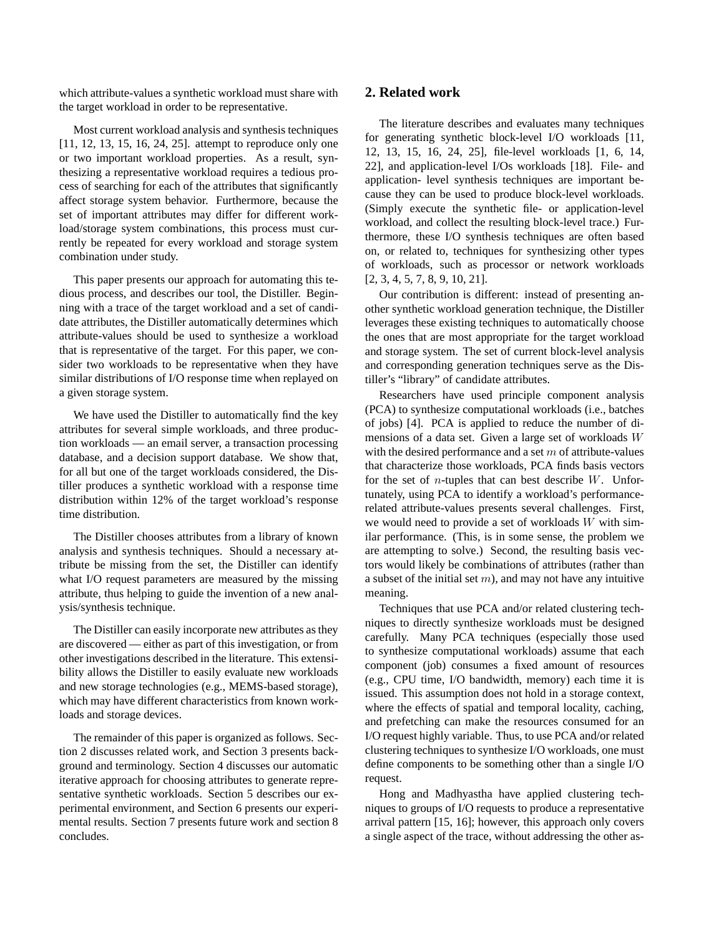which attribute-values a synthetic workload must share with the target workload in order to be representative.

Most current workload analysis and synthesis techniques [11, 12, 13, 15, 16, 24, 25]. attempt to reproduce only one or two important workload properties. As a result, synthesizing a representative workload requires a tedious process of searching for each of the attributes that significantly affect storage system behavior. Furthermore, because the set of important attributes may differ for different workload/storage system combinations, this process must currently be repeated for every workload and storage system combination under study.

This paper presents our approach for automating this tedious process, and describes our tool, the Distiller. Beginning with a trace of the target workload and a set of candidate attributes, the Distiller automatically determines which attribute-values should be used to synthesize a workload that is representative of the target. For this paper, we consider two workloads to be representative when they have similar distributions of I/O response time when replayed on a given storage system.

We have used the Distiller to automatically find the key attributes for several simple workloads, and three production workloads — an email server, a transaction processing database, and a decision support database. We show that, for all but one of the target workloads considered, the Distiller produces a synthetic workload with a response time distribution within 12% of the target workload's response time distribution.

The Distiller chooses attributes from a library of known analysis and synthesis techniques. Should a necessary attribute be missing from the set, the Distiller can identify what I/O request parameters are measured by the missing attribute, thus helping to guide the invention of a new analysis/synthesis technique.

The Distiller can easily incorporate new attributes asthey are discovered — either as part of this investigation, or from other investigations described in the literature. This extensibility allows the Distiller to easily evaluate new workloads and new storage technologies (e.g., MEMS-based storage), which may have different characteristics from known workloads and storage devices.

The remainder of this paper is organized as follows. Section 2 discusses related work, and Section 3 presents background and terminology. Section 4 discusses our automatic iterative approach for choosing attributes to generate representative synthetic workloads. Section 5 describes our experimental environment, and Section 6 presents our experimental results. Section 7 presents future work and section 8 concludes.

### **2. Related work**

The literature describes and evaluates many techniques for generating synthetic block-level I/O workloads [11, 12, 13, 15, 16, 24, 25], file-level workloads [1, 6, 14, 22], and application-level I/Os workloads [18]. File- and application- level synthesis techniques are important because they can be used to produce block-level workloads. (Simply execute the synthetic file- or application-level workload, and collect the resulting block-level trace.) Furthermore, these I/O synthesis techniques are often based on, or related to, techniques for synthesizing other types of workloads, such as processor or network workloads [2, 3, 4, 5, 7, 8, 9, 10, 21].

Our contribution is different: instead of presenting another synthetic workload generation technique, the Distiller leverages these existing techniques to automatically choose the ones that are most appropriate for the target workload and storage system. The set of current block-level analysis and corresponding generation techniques serve as the Distiller's "library" of candidate attributes.

Researchers have used principle component analysis (PCA) to synthesize computational workloads (i.e., batches of jobs) [4]. PCA is applied to reduce the number of dimensions of a data set. Given a large set of workloads W with the desired performance and a set  $m$  of attribute-values that characterize those workloads, PCA finds basis vectors for the set of *n*-tuples that can best describe  $W$ . Unfortunately, using PCA to identify a workload's performancerelated attribute-values presents several challenges. First, we would need to provide a set of workloads W with similar performance. (This, is in some sense, the problem we are attempting to solve.) Second, the resulting basis vectors would likely be combinations of attributes (rather than a subset of the initial set  $m$ ), and may not have any intuitive meaning.

Techniques that use PCA and/or related clustering techniques to directly synthesize workloads must be designed carefully. Many PCA techniques (especially those used to synthesize computational workloads) assume that each component (job) consumes a fixed amount of resources (e.g., CPU time, I/O bandwidth, memory) each time it is issued. This assumption does not hold in a storage context, where the effects of spatial and temporal locality, caching, and prefetching can make the resources consumed for an I/O request highly variable. Thus, to use PCA and/or related clustering techniques to synthesize I/O workloads, one must define components to be something other than a single I/O request.

Hong and Madhyastha have applied clustering techniques to groups of I/O requests to produce a representative arrival pattern [15, 16]; however, this approach only covers a single aspect of the trace, without addressing the other as-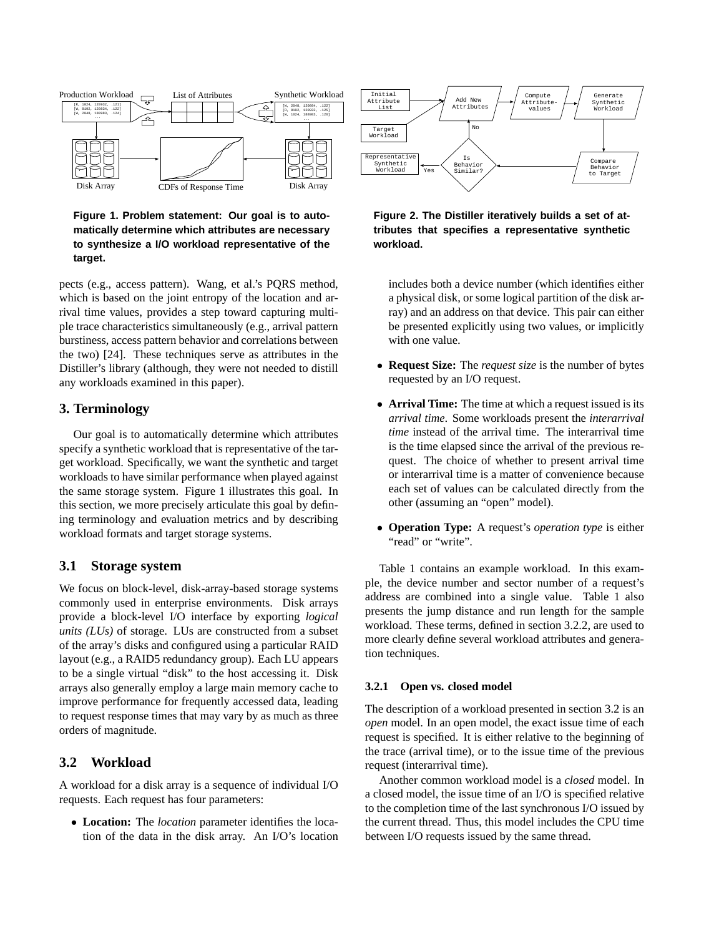

**Figure 1. Problem statement: Our goal is to automatically determine which attributes are necessary to synthesize a I/O workload representative of the target.**

pects (e.g., access pattern). Wang, et al.'s PQRS method, which is based on the joint entropy of the location and arrival time values, provides a step toward capturing multiple trace characteristics simultaneously (e.g., arrival pattern burstiness, access pattern behavior and correlations between the two) [24]. These techniques serve as attributes in the Distiller's library (although, they were not needed to distill any workloads examined in this paper).

### **3. Terminology**

Our goal is to automatically determine which attributes specify a synthetic workload that is representative of the target workload. Specifically, we want the synthetic and target workloads to have similar performance when played against the same storage system. Figure 1 illustrates this goal. In this section, we more precisely articulate this goal by defining terminology and evaluation metrics and by describing workload formats and target storage systems.

### **3.1 Storage system**

We focus on block-level, disk-array-based storage systems commonly used in enterprise environments. Disk arrays provide a block-level I/O interface by exporting *logical units (LUs)* of storage. LUs are constructed from a subset of the array's disks and configured using a particular RAID layout (e.g., a RAID5 redundancy group). Each LU appears to be a single virtual "disk" to the host accessing it. Disk arrays also generally employ a large main memory cache to improve performance for frequently accessed data, leading to request response times that may vary by as much as three orders of magnitude.

## **3.2 Workload**

A workload for a disk array is a sequence of individual I/O requests. Each request has four parameters:

• **Location:** The *location* parameter identifies the location of the data in the disk array. An I/O's location



### **Figure 2. The Distiller iteratively builds a set of attributes that specifies a representative synthetic workload.**

includes both a device number (which identifies either a physical disk, or some logical partition of the disk array) and an address on that device. This pair can either be presented explicitly using two values, or implicitly with one value.

- **Request Size:** The *request size* is the number of bytes requested by an I/O request.
- **Arrival Time:** The time at which a request issued is its *arrival time*. Some workloads present the *interarrival time* instead of the arrival time. The interarrival time is the time elapsed since the arrival of the previous request. The choice of whether to present arrival time or interarrival time is a matter of convenience because each set of values can be calculated directly from the other (assuming an "open" model).
- **Operation Type:** A request's *operation type* is either "read" or "write".

Table 1 contains an example workload. In this example, the device number and sector number of a request's address are combined into a single value. Table 1 also presents the jump distance and run length for the sample workload. These terms, defined in section 3.2.2, are used to more clearly define several workload attributes and generation techniques.

#### **3.2.1 Open vs. closed model**

The description of a workload presented in section 3.2 is an *open* model. In an open model, the exact issue time of each request is specified. It is either relative to the beginning of the trace (arrival time), or to the issue time of the previous request (interarrival time).

Another common workload model is a *closed* model. In a closed model, the issue time of an I/O is specified relative to the completion time of the last synchronous I/O issued by the current thread. Thus, this model includes the CPU time between I/O requests issued by the same thread.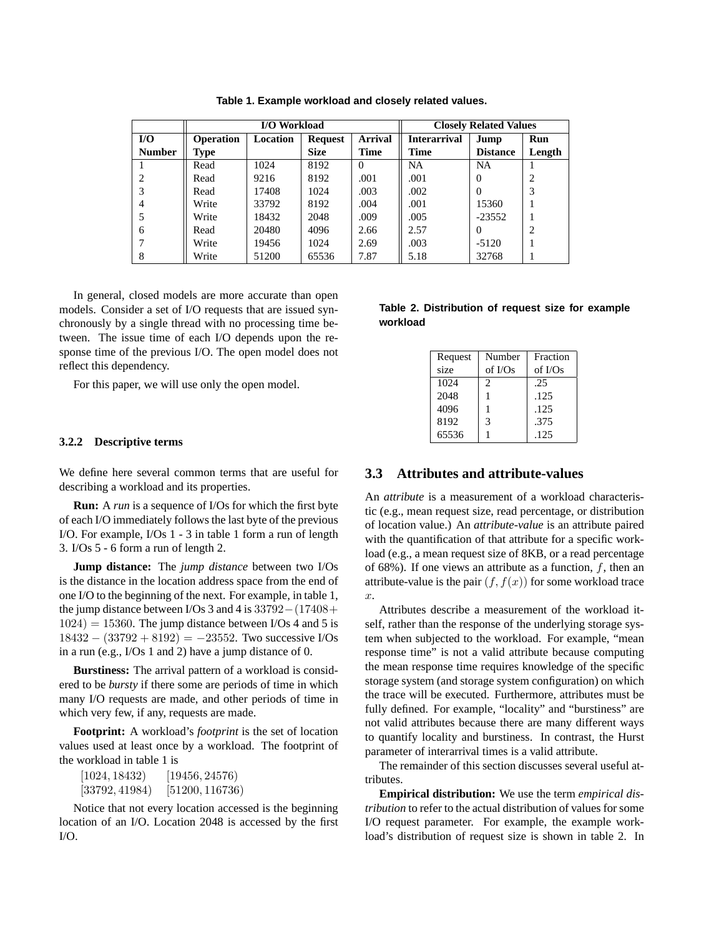|                |                  | I/O Workload |                | <b>Closely Related Values</b> |                     |                 |        |
|----------------|------------------|--------------|----------------|-------------------------------|---------------------|-----------------|--------|
| $IO$           | <b>Operation</b> | Location     | <b>Request</b> | <b>Arrival</b>                | <b>Interarrival</b> | Jump            | Run    |
| <b>Number</b>  | Type             |              | <b>Size</b>    | <b>Time</b>                   | Time                | <b>Distance</b> | Length |
|                | Read             | 1024         | 8192           | $\Omega$                      | <b>NA</b>           | <b>NA</b>       |        |
| $\overline{c}$ | Read             | 9216         | 8192           | .001                          | .001                | $\theta$        | 2      |
| 3              | Read             | 17408        | 1024           | .003                          | .002                | 0               | 3      |
| 4              | Write            | 33792        | 8192           | .004                          | .001                | 15360           |        |
| 5              | Write            | 18432        | 2048           | .009                          | .005                | $-23552$        |        |
| 6              | Read             | 20480        | 4096           | 2.66                          | 2.57                | 0               | 2      |
|                | Write            | 19456        | 1024           | 2.69                          | .003                | $-5120$         |        |
| 8              | Write            | 51200        | 65536          | 7.87                          | 5.18                | 32768           |        |

**Table 1. Example workload and closely related values.**

In general, closed models are more accurate than open models. Consider a set of I/O requests that are issued synchronously by a single thread with no processing time between. The issue time of each I/O depends upon the response time of the previous I/O. The open model does not reflect this dependency.

For this paper, we will use only the open model.

#### **3.2.2 Descriptive terms**

We define here several common terms that are useful for describing a workload and its properties.

**Run:** A *run* is a sequence of I/Os for which the first byte of each I/O immediately followsthe last byte of the previous I/O. For example, I/Os 1 - 3 in table 1 form a run of length 3. I/Os 5 - 6 form a run of length 2.

**Jump distance:** The *jump distance* between two I/Os is the distance in the location address space from the end of one I/O to the beginning of the next. For example, in table 1, the jump distance between I/Os 3 and 4 is 33792−(17408+  $1024$ ) = 15360. The jump distance between I/Os 4 and 5 is  $18432 - (33792 + 8192) = -23552$ . Two successive I/Os in a run (e.g., I/Os 1 and 2) have a jump distance of 0.

**Burstiness:** The arrival pattern of a workload is considered to be *bursty* if there some are periods of time in which many I/O requests are made, and other periods of time in which very few, if any, requests are made.

**Footprint:** A workload's *footprint* is the set of location values used at least once by a workload. The footprint of the workload in table 1 is

| [1024, 18432]  | [19456, 24576]  |
|----------------|-----------------|
| [33792, 41984] | [51200, 116736] |

Notice that not every location accessed is the beginning location of an I/O. Location 2048 is accessed by the first I/O.

**Table 2. Distribution of request size for example workload**

| Request | Number  | Fraction |
|---------|---------|----------|
| size    | of I/Os | of I/Os  |
| 1024    | 2       | .25      |
| 2048    |         | .125     |
| 4096    |         | .125     |
| 8192    | 3       | .375     |
| 65536   |         | .125     |

### **3.3 Attributes and attribute-values**

An *attribute* is a measurement of a workload characteristic (e.g., mean request size, read percentage, or distribution of location value.) An *attribute-value* is an attribute paired with the quantification of that attribute for a specific workload (e.g., a mean request size of 8KB, or a read percentage of 68%). If one views an attribute as a function,  $f$ , then an attribute-value is the pair  $(f, f(x))$  for some workload trace  $\hat{x}$ .

Attributes describe a measurement of the workload itself, rather than the response of the underlying storage system when subjected to the workload. For example, "mean response time" is not a valid attribute because computing the mean response time requires knowledge of the specific storage system (and storage system configuration) on which the trace will be executed. Furthermore, attributes must be fully defined. For example, "locality" and "burstiness" are not valid attributes because there are many different ways to quantify locality and burstiness. In contrast, the Hurst parameter of interarrival times is a valid attribute.

The remainder of this section discusses several useful attributes.

**Empirical distribution:** We use the term *empirical distribution* to refer to the actual distribution of values for some I/O request parameter. For example, the example workload's distribution of request size is shown in table 2. In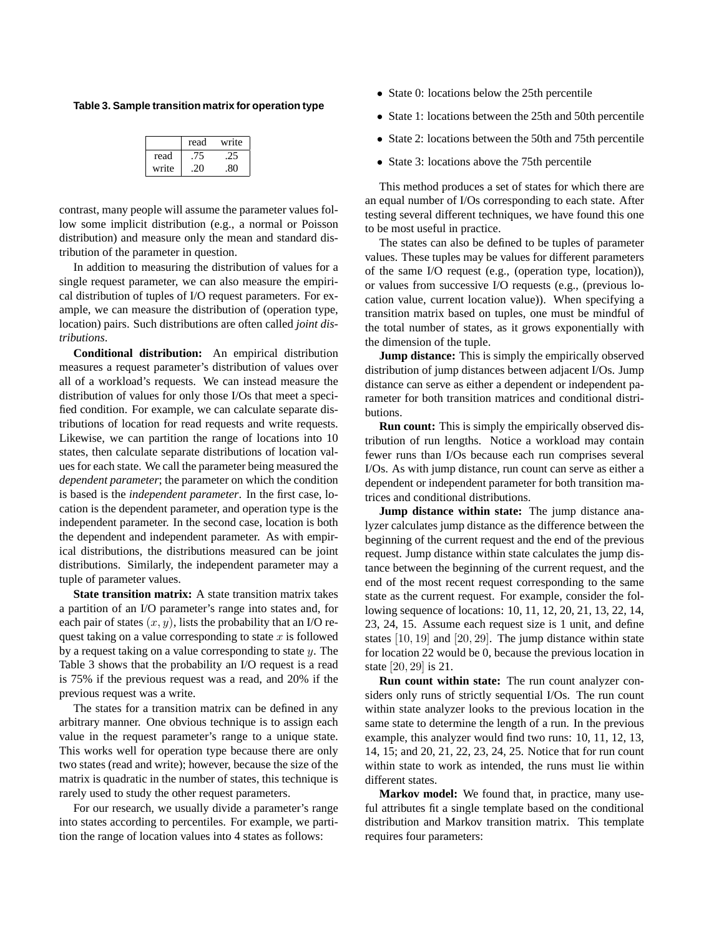**Table 3. Sample transition matrix for operation type**

|       | read | write |
|-------|------|-------|
| read  | .75  |       |
| write | .20  | .80   |

contrast, many people will assume the parameter values follow some implicit distribution (e.g., a normal or Poisson distribution) and measure only the mean and standard distribution of the parameter in question.

In addition to measuring the distribution of values for a single request parameter, we can also measure the empirical distribution of tuples of I/O request parameters. For example, we can measure the distribution of (operation type, location) pairs. Such distributions are often called *joint distributions*.

**Conditional distribution:** An empirical distribution measures a request parameter's distribution of values over all of a workload's requests. We can instead measure the distribution of values for only those I/Os that meet a specified condition. For example, we can calculate separate distributions of location for read requests and write requests. Likewise, we can partition the range of locations into 10 states, then calculate separate distributions of location values for each state. We call the parameter being measured the *dependent parameter*; the parameter on which the condition is based is the *independent parameter*. In the first case, location is the dependent parameter, and operation type is the independent parameter. In the second case, location is both the dependent and independent parameter. As with empirical distributions, the distributions measured can be joint distributions. Similarly, the independent parameter may a tuple of parameter values.

**State transition matrix:** A state transition matrix takes a partition of an I/O parameter's range into states and, for each pair of states  $(x, y)$ , lists the probability that an I/O request taking on a value corresponding to state  $x$  is followed by a request taking on a value corresponding to state y. The Table 3 shows that the probability an I/O request is a read is 75% if the previous request was a read, and 20% if the previous request was a write.

The states for a transition matrix can be defined in any arbitrary manner. One obvious technique is to assign each value in the request parameter's range to a unique state. This works well for operation type because there are only two states (read and write); however, because the size of the matrix is quadratic in the number of states, this technique is rarely used to study the other request parameters.

For our research, we usually divide a parameter's range into states according to percentiles. For example, we partition the range of location values into 4 states as follows:

- State 0: locations below the 25th percentile
- State 1: locations between the 25th and 50th percentile
- State 2: locations between the 50th and 75th percentile
- State 3: locations above the 75th percentile

This method produces a set of states for which there are an equal number of I/Os corresponding to each state. After testing several different techniques, we have found this one to be most useful in practice.

The states can also be defined to be tuples of parameter values. These tuples may be values for different parameters of the same I/O request (e.g., (operation type, location)), or values from successive I/O requests (e.g., (previous location value, current location value)). When specifying a transition matrix based on tuples, one must be mindful of the total number of states, as it grows exponentially with the dimension of the tuple.

**Jump distance:** This is simply the empirically observed distribution of jump distances between adjacent I/Os. Jump distance can serve as either a dependent or independent parameter for both transition matrices and conditional distributions.

**Run count:** This is simply the empirically observed distribution of run lengths. Notice a workload may contain fewer runs than I/Os because each run comprises several I/Os. As with jump distance, run count can serve as either a dependent or independent parameter for both transition matrices and conditional distributions.

**Jump distance within state:** The jump distance analyzer calculates jump distance as the difference between the beginning of the current request and the end of the previous request. Jump distance within state calculates the jump distance between the beginning of the current request, and the end of the most recent request corresponding to the same state as the current request. For example, consider the following sequence of locations: 10, 11, 12, 20, 21, 13, 22, 14, 23, 24, 15. Assume each request size is 1 unit, and define states [10, 19] and [20, 29]. The jump distance within state for location 22 would be 0, because the previous location in state [20, 29] is 21.

**Run count within state:** The run count analyzer considers only runs of strictly sequential I/Os. The run count within state analyzer looks to the previous location in the same state to determine the length of a run. In the previous example, this analyzer would find two runs: 10, 11, 12, 13, 14, 15; and 20, 21, 22, 23, 24, 25. Notice that for run count within state to work as intended, the runs must lie within different states.

**Markov model:** We found that, in practice, many useful attributes fit a single template based on the conditional distribution and Markov transition matrix. This template requires four parameters: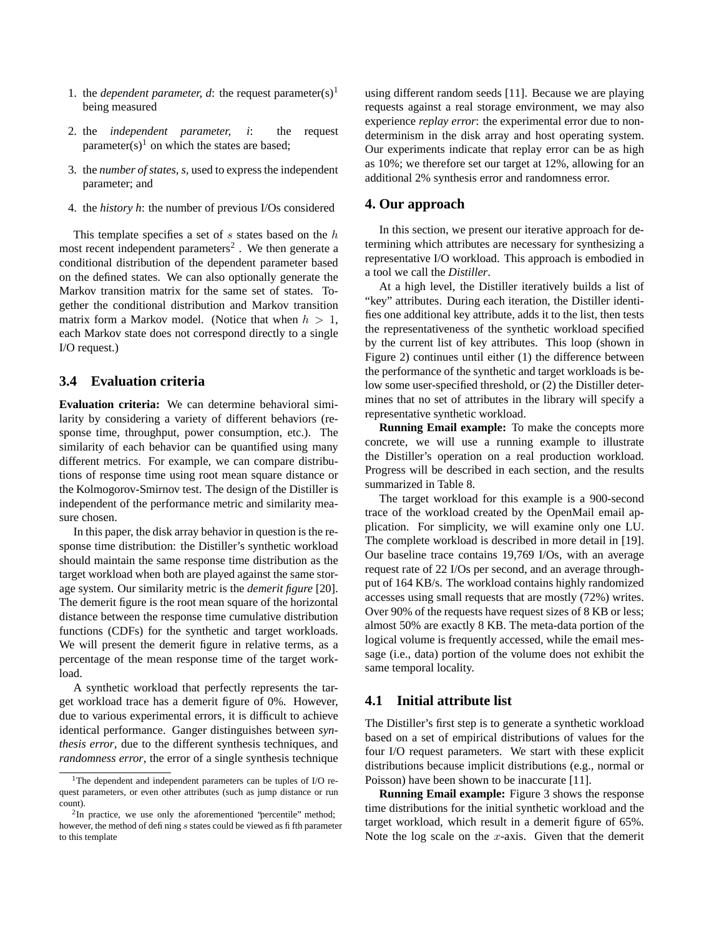- 1. the *dependent* parameter, d: the request parameter(s)<sup>1</sup> being measured
- 2. the *independent parameter, i*: the request parameter(s)<sup>1</sup> on which the states are based;
- 3. the *number of states, s,* used to express the independent parameter; and
- 4. the *history h*: the number of previous I/Os considered

This template specifies a set of  $s$  states based on the  $h$ most recent independent parameters<sup>2</sup>. We then generate a conditional distribution of the dependent parameter based on the defined states. We can also optionally generate the Markov transition matrix for the same set of states. Together the conditional distribution and Markov transition matrix form a Markov model. (Notice that when  $h > 1$ , each Markov state does not correspond directly to a single I/O request.)

#### **3.4 Evaluation criteria**

**Evaluation criteria:** We can determine behavioral similarity by considering a variety of different behaviors (response time, throughput, power consumption, etc.). The similarity of each behavior can be quantified using many different metrics. For example, we can compare distributions of response time using root mean square distance or the Kolmogorov-Smirnov test. The design of the Distiller is independent of the performance metric and similarity measure chosen.

In this paper, the disk array behavior in question is the response time distribution: the Distiller's synthetic workload should maintain the same response time distribution as the target workload when both are played against the same storage system. Our similarity metric is the *demerit figure* [20]. The demerit figure is the root mean square of the horizontal distance between the response time cumulative distribution functions (CDFs) for the synthetic and target workloads. We will present the demerit figure in relative terms, as a percentage of the mean response time of the target workload.

A synthetic workload that perfectly represents the target workload trace has a demerit figure of 0%. However, due to various experimental errors, it is difficult to achieve identical performance. Ganger distinguishes between *synthesis error*, due to the different synthesis techniques, and *randomness error*, the error of a single synthesis technique

using different random seeds [11]. Because we are playing requests against a real storage environment, we may also experience *replay error*: the experimental error due to nondeterminism in the disk array and host operating system. Our experiments indicate that replay error can be as high as 10%; we therefore set our target at 12%, allowing for an additional 2% synthesis error and randomness error.

#### **4. Our approach**

In this section, we present our iterative approach for determining which attributes are necessary for synthesizing a representative I/O workload. This approach is embodied in a tool we call the *Distiller*.

At a high level, the Distiller iteratively builds a list of "key" attributes. During each iteration, the Distiller identifies one additional key attribute, adds it to the list, then tests the representativeness of the synthetic workload specified by the current list of key attributes. This loop (shown in Figure 2) continues until either (1) the difference between the performance of the synthetic and target workloads is below some user-specified threshold, or (2) the Distiller determines that no set of attributes in the library will specify a representative synthetic workload.

**Running Email example:** To make the concepts more concrete, we will use a running example to illustrate the Distiller's operation on a real production workload. Progress will be described in each section, and the results summarized in Table 8.

The target workload for this example is a 900-second trace of the workload created by the OpenMail email application. For simplicity, we will examine only one LU. The complete workload is described in more detail in [19]. Our baseline trace contains 19,769 I/Os, with an average request rate of 22 I/Os per second, and an average throughput of 164 KB/s. The workload contains highly randomized accesses using small requests that are mostly (72%) writes. Over 90% of the requests have request sizes of 8 KB or less; almost 50% are exactly 8 KB. The meta-data portion of the logical volume is frequently accessed, while the email message (i.e., data) portion of the volume does not exhibit the same temporal locality.

#### **4.1 Initial attribute list**

The Distiller's first step is to generate a synthetic workload based on a set of empirical distributions of values for the four I/O request parameters. We start with these explicit distributions because implicit distributions (e.g., normal or Poisson) have been shown to be inaccurate [11].

**Running Email example:** Figure 3 shows the response time distributions for the initial synthetic workload and the target workload, which result in a demerit figure of 65%. Note the log scale on the  $x$ -axis. Given that the demerit

<sup>&</sup>lt;sup>1</sup>The dependent and independent parameters can be tuples of I/O request parameters, or even other attributes (such as jump distance or run count).

 $2$ In practice, we use only the aforementioned 'percentile' method; however, the method of defining s states could be viewed as fifth parameter to this template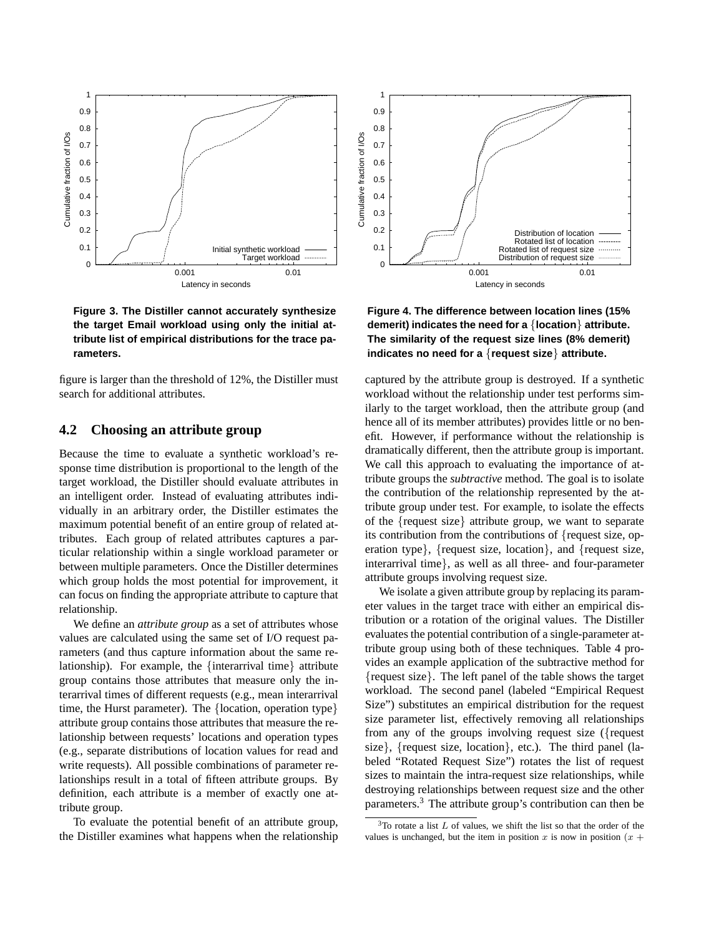

**Figure 3. The Distiller cannot accurately synthesize the target Email workload using only the initial attribute list of empirical distributions for the trace parameters.**

figure is larger than the threshold of 12%, the Distiller must search for additional attributes.

### **4.2 Choosing an attribute group**

Because the time to evaluate a synthetic workload's response time distribution is proportional to the length of the target workload, the Distiller should evaluate attributes in an intelligent order. Instead of evaluating attributes individually in an arbitrary order, the Distiller estimates the maximum potential benefit of an entire group of related attributes. Each group of related attributes captures a particular relationship within a single workload parameter or between multiple parameters. Once the Distiller determines which group holds the most potential for improvement, it can focus on finding the appropriate attribute to capture that relationship.

We define an *attribute group* as a set of attributes whose values are calculated using the same set of I/O request parameters (and thus capture information about the same relationship). For example, the {interarrival time} attribute group contains those attributes that measure only the interarrival times of different requests (e.g., mean interarrival time, the Hurst parameter). The {location, operation type} attribute group contains those attributes that measure the relationship between requests' locations and operation types (e.g., separate distributions of location values for read and write requests). All possible combinations of parameter relationships result in a total of fifteen attribute groups. By definition, each attribute is a member of exactly one attribute group.

To evaluate the potential benefit of an attribute group, the Distiller examines what happens when the relationship



**Figure 4. The difference between location lines (15% demerit) indicates the need for a** {**location**} **attribute. The similarity of the request size lines (8% demerit) indicates no need for a** {**request size**} **attribute.**

captured by the attribute group is destroyed. If a synthetic workload without the relationship under test performs similarly to the target workload, then the attribute group (and hence all of its member attributes) provides little or no benefit. However, if performance without the relationship is dramatically different, then the attribute group is important. We call this approach to evaluating the importance of attribute groups the *subtractive* method. The goal is to isolate the contribution of the relationship represented by the attribute group under test. For example, to isolate the effects of the {request size} attribute group, we want to separate its contribution from the contributions of {request size, operation type}, {request size, location}, and {request size, interarrival time}, as well as all three- and four-parameter attribute groups involving request size.

We isolate a given attribute group by replacing its parameter values in the target trace with either an empirical distribution or a rotation of the original values. The Distiller evaluates the potential contribution of a single-parameter attribute group using both of these techniques. Table 4 provides an example application of the subtractive method for {request size}. The left panel of the table shows the target workload. The second panel (labeled "Empirical Request Size") substitutes an empirical distribution for the request size parameter list, effectively removing all relationships from any of the groups involving request size ( ${[request]}$ size}, {request size, location}, etc.). The third panel (labeled "Rotated Request Size") rotates the list of request sizes to maintain the intra-request size relationships, while destroying relationships between request size and the other parameters. $3$  The attribute group's contribution can then be

 $3$ To rotate a list L of values, we shift the list so that the order of the values is unchanged, but the item in position x is now in position  $(x +$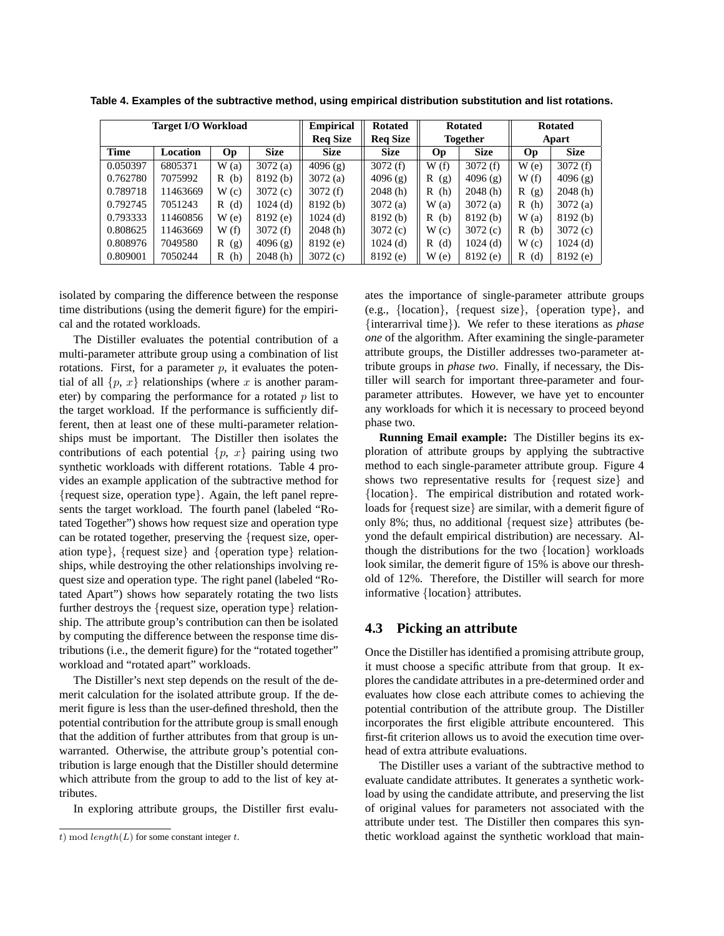| <b>Target I/O Workload</b> |          |          | <b>Empirical</b><br><b>Req Size</b> | <b>Rotated</b><br><b>Req Size</b> | <b>Rotated</b><br>Together |          | <b>Rotated</b><br>Apart |          |             |
|----------------------------|----------|----------|-------------------------------------|-----------------------------------|----------------------------|----------|-------------------------|----------|-------------|
| <b>Time</b>                | Location | Op       | <b>Size</b>                         | <b>Size</b>                       | <b>Size</b>                | Op       | <b>Size</b>             | Op       | <b>Size</b> |
| 0.050397                   | 6805371  | W<br>(a) | 3072(a)                             | 4096(g)                           | 3072(f)                    | W(f)     | 3072(f)                 | W(e)     | 3072(f)     |
| 0.762780                   | 7075992  | (b)<br>R | 8192(b)                             | 3072(a)                           | 4096(g)                    | R<br>(g) | 4096(g)                 | W(f)     | 4096(g)     |
| 0.789718                   | 11463669 | W(c)     | 3072(c)                             | 3072(f)                           | 2048(h)                    | R(h)     | 2048(h)                 | R(g)     | 2048(h)     |
| 0.792745                   | 7051243  | (d)<br>R | $1024$ (d)                          | 8192(b)                           | 3072(a)                    | W(a)     | 3072(a)                 | R(h)     | 3072(a)     |
| 0.793333                   | 11460856 | W(e)     | 8192(e)                             | $1024$ (d)                        | 8192(b)                    | R(b)     | 8192(b)                 | W(a)     | 8192(b)     |
| 0.808625                   | 11463669 | W(f)     | 3072(f)                             | 2048(h)                           | 3072(c)                    | W(c)     | 3072(c)                 | R(b)     | 3072(c)     |
| 0.808976                   | 7049580  | R<br>(g) | 4096(g)                             | 8192(e)                           | $1024$ (d)                 | R(d)     | $1024$ (d)              | W(c)     | $1024$ (d)  |
| 0.809001                   | 7050244  | R<br>(h) | 2048(h)                             | 3072(c)                           | 8192(e)                    | W(e)     | 8192(e)                 | (d)<br>R | 8192 (e)    |

**Table 4. Examples of the subtractive method, using empirical distribution substitution and list rotations.**

isolated by comparing the difference between the response time distributions (using the demerit figure) for the empirical and the rotated workloads.

The Distiller evaluates the potential contribution of a multi-parameter attribute group using a combination of list rotations. First, for a parameter  $p$ , it evaluates the potential of all  $\{p, x\}$  relationships (where x is another parameter) by comparing the performance for a rotated  $p$  list to the target workload. If the performance is sufficiently different, then at least one of these multi-parameter relationships must be important. The Distiller then isolates the contributions of each potential  $\{p, x\}$  pairing using two synthetic workloads with different rotations. Table 4 provides an example application of the subtractive method for {request size, operation type}. Again, the left panel represents the target workload. The fourth panel (labeled "Rotated Together") shows how request size and operation type can be rotated together, preserving the {request size, operation type}, {request size} and {operation type} relationships, while destroying the other relationships involving request size and operation type. The right panel (labeled "Rotated Apart") shows how separately rotating the two lists further destroys the {request size, operation type} relationship. The attribute group's contribution can then be isolated by computing the difference between the response time distributions (i.e., the demerit figure) for the "rotated together" workload and "rotated apart" workloads.

The Distiller's next step depends on the result of the demerit calculation for the isolated attribute group. If the demerit figure is less than the user-defined threshold, then the potential contribution for the attribute group is small enough that the addition of further attributes from that group is unwarranted. Otherwise, the attribute group's potential contribution is large enough that the Distiller should determine which attribute from the group to add to the list of key attributes.

In exploring attribute groups, the Distiller first evalu-

ates the importance of single-parameter attribute groups (e.g., {location}, {request size}, {operation type}, and {interarrival time}). We refer to these iterations as *phase one* of the algorithm. After examining the single-parameter attribute groups, the Distiller addresses two-parameter attribute groups in *phase two*. Finally, if necessary, the Distiller will search for important three-parameter and fourparameter attributes. However, we have yet to encounter any workloads for which it is necessary to proceed beyond phase two.

**Running Email example:** The Distiller begins its exploration of attribute groups by applying the subtractive method to each single-parameter attribute group. Figure 4 shows two representative results for {request size} and {location}. The empirical distribution and rotated workloads for {request size} are similar, with a demerit figure of only 8%; thus, no additional {request size} attributes (beyond the default empirical distribution) are necessary. Although the distributions for the two {location} workloads look similar, the demerit figure of 15% is above our threshold of 12%. Therefore, the Distiller will search for more informative {location} attributes.

#### **4.3 Picking an attribute**

Once the Distiller has identified a promising attribute group, it must choose a specific attribute from that group. It explores the candidate attributes in a pre-determined order and evaluates how close each attribute comes to achieving the potential contribution of the attribute group. The Distiller incorporates the first eligible attribute encountered. This first-fit criterion allows us to avoid the execution time overhead of extra attribute evaluations.

The Distiller uses a variant of the subtractive method to evaluate candidate attributes. It generates a synthetic workload by using the candidate attribute, and preserving the list of original values for parameters not associated with the attribute under test. The Distiller then compares this synthetic workload against the synthetic workload that main-

t) mod  $length(L)$  for some constant integer t.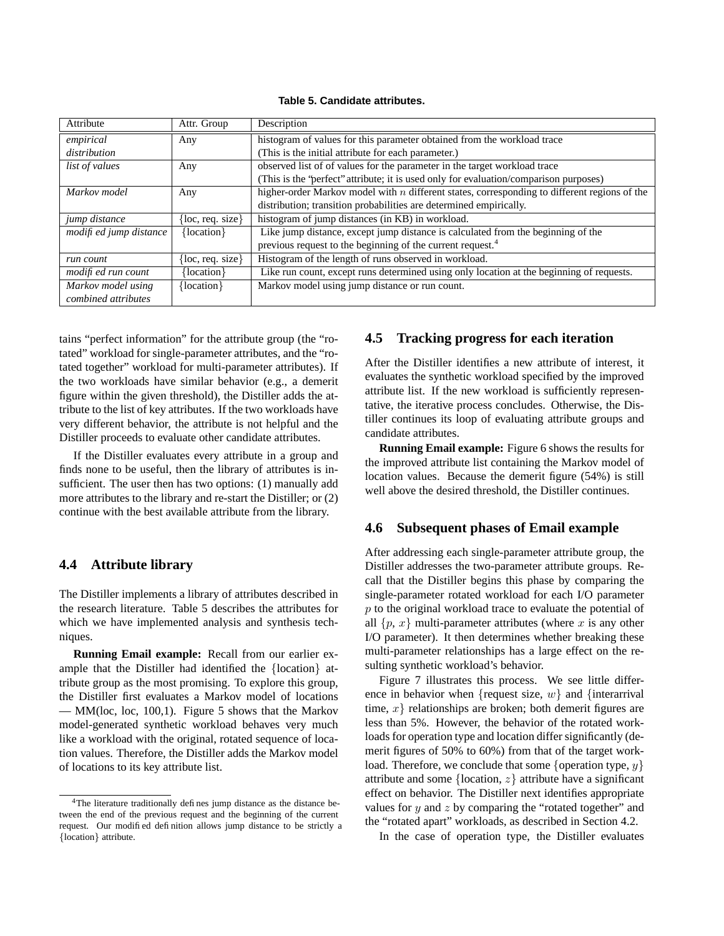|  | Table 5. Candidate attributes. |  |
|--|--------------------------------|--|
|--|--------------------------------|--|

| Attribute                               | Attr. Group          | Description                                                                                    |  |
|-----------------------------------------|----------------------|------------------------------------------------------------------------------------------------|--|
| empirical                               | Any                  | histogram of values for this parameter obtained from the workload trace                        |  |
| distribution                            |                      | (This is the initial attribute for each parameter.)                                            |  |
| list of values                          | Any                  | observed list of of values for the parameter in the target workload trace                      |  |
|                                         |                      | (This is the 'perfect' attribute; it is used only for evaluation/comparison purposes)          |  |
| Markov model                            | Any                  | higher-order Markov model with $n$ different states, corresponding to different regions of the |  |
|                                         |                      | distribution; transition probabilities are determined empirically.                             |  |
| jump distance                           | $\{loc, req. size\}$ | histogram of jump distances (in KB) in workload.                                               |  |
| modifi ed jump distance<br>${location}$ |                      | Like jump distance, except jump distance is calculated from the beginning of the               |  |
|                                         |                      | previous request to the beginning of the current request. <sup>4</sup>                         |  |
| run count                               | $\{loc, req. size\}$ | Histogram of the length of runs observed in workload.                                          |  |
| modifi ed run count                     | {location}           | Like run count, except runs determined using only location at the beginning of requests.       |  |
| Markov model using                      | ${location}$         | Markov model using jump distance or run count.                                                 |  |
| combined attributes                     |                      |                                                                                                |  |

tains "perfect information" for the attribute group (the "rotated" workload for single-parameter attributes, and the "rotated together" workload for multi-parameter attributes). If the two workloads have similar behavior (e.g., a demerit figure within the given threshold), the Distiller adds the attribute to the list of key attributes. If the two workloads have very different behavior, the attribute is not helpful and the Distiller proceeds to evaluate other candidate attributes.

If the Distiller evaluates every attribute in a group and finds none to be useful, then the library of attributes is insufficient. The user then has two options: (1) manually add more attributes to the library and re-start the Distiller; or (2) continue with the best available attribute from the library.

### **4.4 Attribute library**

The Distiller implements a library of attributes described in the research literature. Table 5 describes the attributes for which we have implemented analysis and synthesis techniques.

**Running Email example:** Recall from our earlier example that the Distiller had identified the {location} attribute group as the most promising. To explore this group, the Distiller first evaluates a Markov model of locations — MM(loc, loc, 100,1). Figure 5 shows that the Markov model-generated synthetic workload behaves very much like a workload with the original, rotated sequence of location values. Therefore, the Distiller adds the Markov model of locations to its key attribute list.

### **4.5 Tracking progress for each iteration**

After the Distiller identifies a new attribute of interest, it evaluates the synthetic workload specified by the improved attribute list. If the new workload is sufficiently representative, the iterative process concludes. Otherwise, the Distiller continues its loop of evaluating attribute groups and candidate attributes.

**Running Email example:** Figure 6 shows the results for the improved attribute list containing the Markov model of location values. Because the demerit figure (54%) is still well above the desired threshold, the Distiller continues.

### **4.6 Subsequent phases of Email example**

After addressing each single-parameter attribute group, the Distiller addresses the two-parameter attribute groups. Recall that the Distiller begins this phase by comparing the single-parameter rotated workload for each I/O parameter p to the original workload trace to evaluate the potential of all  $\{p, x\}$  multi-parameter attributes (where x is any other I/O parameter). It then determines whether breaking these multi-parameter relationships has a large effect on the resulting synthetic workload's behavior.

Figure 7 illustrates this process. We see little difference in behavior when {request size,  $w$ } and {interarrival time,  $x$ } relationships are broken; both demerit figures are less than 5%. However, the behavior of the rotated workloads for operation type and location differ significantly (demerit figures of 50% to 60%) from that of the target workload. Therefore, we conclude that some {operation type,  $y$ } attribute and some {location,  $z$ } attribute have a significant effect on behavior. The Distiller next identifies appropriate values for  $y$  and  $z$  by comparing the "rotated together" and the "rotated apart" workloads, as described in Section 4.2.

In the case of operation type, the Distiller evaluates

<sup>4</sup>The literature traditionally defines jump distance as the distance between the end of the previous request and the beginning of the current request. Our modified definition allows jump distance to be strictly a {location} attribute.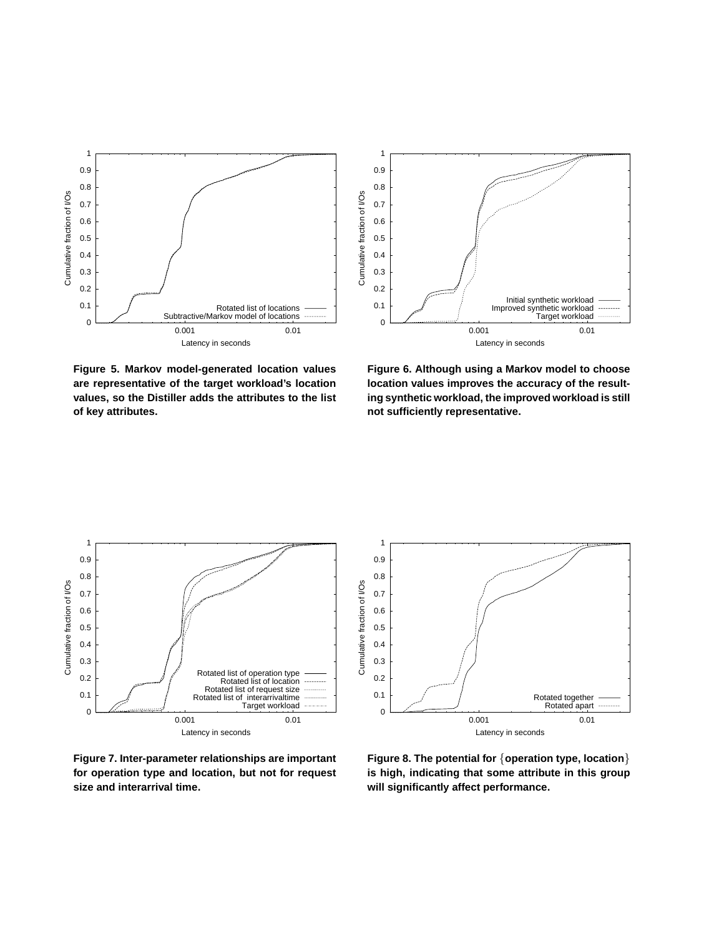



**Figure 5. Markov model-generated location values are representative of the target workload's location values, so the Distiller adds the attributes to the list of key attributes.**

**Figure 6. Although using a Markov model to choose location values improves the accuracy of the resulting synthetic workload, the improved workload is still not sufficiently representative.**



0.9 0.8 Cumulative fraction of I/Os Cumulative fraction of I/Os 0.7 0.6 0.5 0.4 0.3 0.2 0.1 Rotated together Rotated apart 0 0.001 0.01 Latency in seconds

1

**Figure 7. Inter-parameter relationships are important for operation type and location, but not for request size and interarrival time.**

**Figure 8. The potential for** {**operation type, location**} **is high, indicating that some attribute in this group will significantly affect performance.**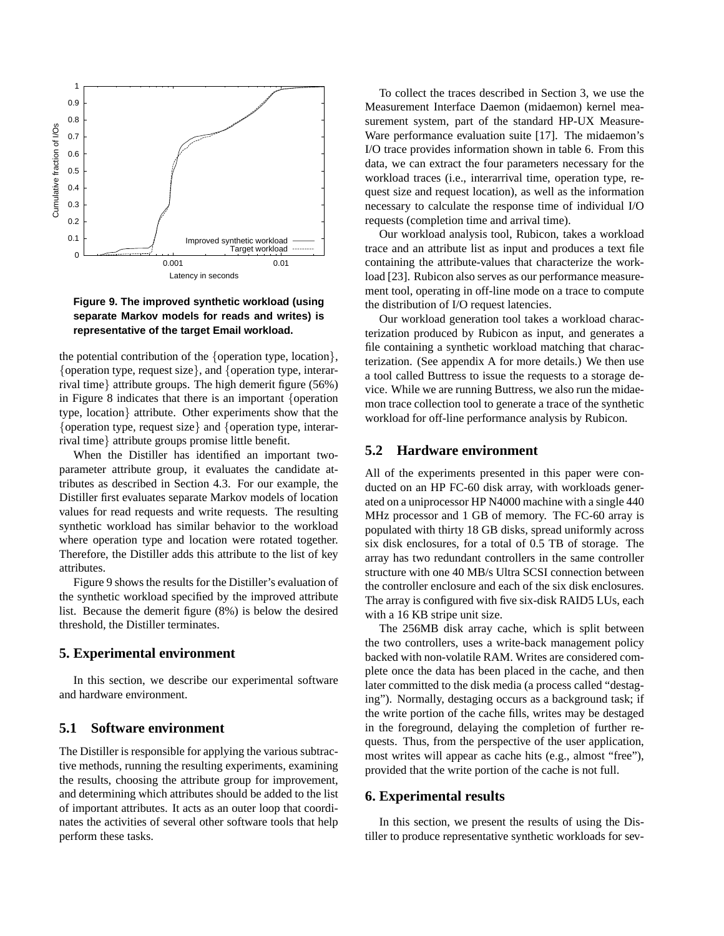

#### **Figure 9. The improved synthetic workload (using separate Markov models for reads and writes) is representative of the target Email workload.**

the potential contribution of the {operation type, location}, {operation type, request size}, and {operation type, interarrival time} attribute groups. The high demerit figure (56%) in Figure 8 indicates that there is an important {operation type, location} attribute. Other experiments show that the {operation type, request size} and {operation type, interarrival time} attribute groups promise little benefit.

When the Distiller has identified an important twoparameter attribute group, it evaluates the candidate attributes as described in Section 4.3. For our example, the Distiller first evaluates separate Markov models of location values for read requests and write requests. The resulting synthetic workload has similar behavior to the workload where operation type and location were rotated together. Therefore, the Distiller adds this attribute to the list of key attributes.

Figure 9 shows the results for the Distiller's evaluation of the synthetic workload specified by the improved attribute list. Because the demerit figure (8%) is below the desired threshold, the Distiller terminates.

### **5. Experimental environment**

In this section, we describe our experimental software and hardware environment.

### **5.1 Software environment**

The Distiller is responsible for applying the various subtractive methods, running the resulting experiments, examining the results, choosing the attribute group for improvement, and determining which attributes should be added to the list of important attributes. It acts as an outer loop that coordinates the activities of several other software tools that help perform these tasks.

To collect the traces described in Section 3, we use the Measurement Interface Daemon (midaemon) kernel measurement system, part of the standard HP-UX Measure-Ware performance evaluation suite [17]. The midaemon's I/O trace provides information shown in table 6. From this data, we can extract the four parameters necessary for the workload traces (i.e., interarrival time, operation type, request size and request location), as well as the information necessary to calculate the response time of individual I/O requests (completion time and arrival time).

Our workload analysis tool, Rubicon, takes a workload trace and an attribute list as input and produces a text file containing the attribute-values that characterize the workload [23]. Rubicon also serves as our performance measurement tool, operating in off-line mode on a trace to compute the distribution of I/O request latencies.

Our workload generation tool takes a workload characterization produced by Rubicon as input, and generates a file containing a synthetic workload matching that characterization. (See appendix A for more details.) We then use a tool called Buttress to issue the requests to a storage device. While we are running Buttress, we also run the midaemon trace collection tool to generate a trace of the synthetic workload for off-line performance analysis by Rubicon.

#### **5.2 Hardware environment**

All of the experiments presented in this paper were conducted on an HP FC-60 disk array, with workloads generated on a uniprocessor HP N4000 machine with a single 440 MHz processor and 1 GB of memory. The FC-60 array is populated with thirty 18 GB disks, spread uniformly across six disk enclosures, for a total of 0.5 TB of storage. The array has two redundant controllers in the same controller structure with one 40 MB/s Ultra SCSI connection between the controller enclosure and each of the six disk enclosures. The array is configured with five six-disk RAID5 LUs, each with a 16 KB stripe unit size.

The 256MB disk array cache, which is split between the two controllers, uses a write-back management policy backed with non-volatile RAM. Writes are considered complete once the data has been placed in the cache, and then later committed to the disk media (a process called "destaging"). Normally, destaging occurs as a background task; if the write portion of the cache fills, writes may be destaged in the foreground, delaying the completion of further requests. Thus, from the perspective of the user application, most writes will appear as cache hits (e.g., almost "free"), provided that the write portion of the cache is not full.

### **6. Experimental results**

In this section, we present the results of using the Distiller to produce representative synthetic workloads for sev-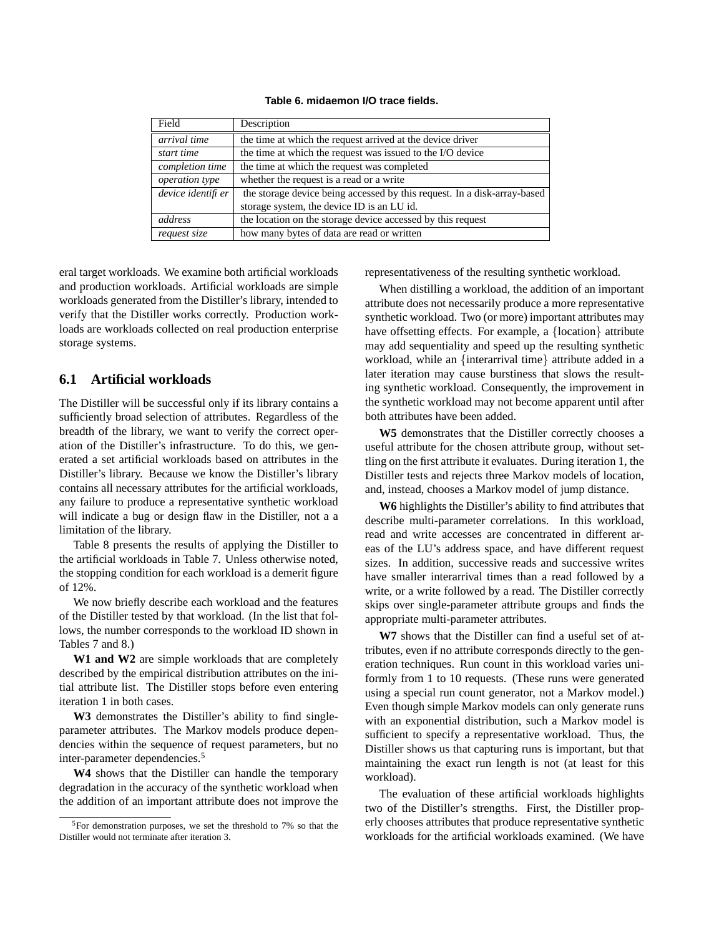| Field              | Description                                                              |
|--------------------|--------------------------------------------------------------------------|
| arrival time       | the time at which the request arrived at the device driver               |
| start time         | the time at which the request was issued to the I/O device               |
| completion time    | the time at which the request was completed                              |
| operation type     | whether the request is a read or a write                                 |
| device identifi er | the storage device being accessed by this request. In a disk-array-based |
|                    | storage system, the device ID is an LU id.                               |
| address            | the location on the storage device accessed by this request              |
| request size       | how many bytes of data are read or written                               |

#### **Table 6. midaemon I/O trace fields.**

eral target workloads. We examine both artificial workloads and production workloads. Artificial workloads are simple workloads generated from the Distiller's library, intended to verify that the Distiller works correctly. Production workloads are workloads collected on real production enterprise storage systems.

### **6.1 Artificial workloads**

The Distiller will be successful only if its library contains a sufficiently broad selection of attributes. Regardless of the breadth of the library, we want to verify the correct operation of the Distiller's infrastructure. To do this, we generated a set artificial workloads based on attributes in the Distiller's library. Because we know the Distiller's library contains all necessary attributes for the artificial workloads, any failure to produce a representative synthetic workload will indicate a bug or design flaw in the Distiller, not a a limitation of the library.

Table 8 presents the results of applying the Distiller to the artificial workloads in Table 7. Unless otherwise noted, the stopping condition for each workload is a demerit figure of 12%.

We now briefly describe each workload and the features of the Distiller tested by that workload. (In the list that follows, the number corresponds to the workload ID shown in Tables 7 and 8.)

**W1 and W2** are simple workloads that are completely described by the empirical distribution attributes on the initial attribute list. The Distiller stops before even entering iteration 1 in both cases.

**W3** demonstrates the Distiller's ability to find singleparameter attributes. The Markov models produce dependencies within the sequence of request parameters, but no inter-parameter dependencies.<sup>5</sup>

**W4** shows that the Distiller can handle the temporary degradation in the accuracy of the synthetic workload when the addition of an important attribute does not improve the representativeness of the resulting synthetic workload.

When distilling a workload, the addition of an important attribute does not necessarily produce a more representative synthetic workload. Two (or more) important attributes may have offsetting effects. For example, a {location} attribute may add sequentiality and speed up the resulting synthetic workload, while an {interarrival time} attribute added in a later iteration may cause burstiness that slows the resulting synthetic workload. Consequently, the improvement in the synthetic workload may not become apparent until after both attributes have been added.

**W5** demonstrates that the Distiller correctly chooses a useful attribute for the chosen attribute group, without settling on the first attribute it evaluates. During iteration 1, the Distiller tests and rejects three Markov models of location, and, instead, chooses a Markov model of jump distance.

**W6** highlights the Distiller's ability to find attributes that describe multi-parameter correlations. In this workload, read and write accesses are concentrated in different areas of the LU's address space, and have different request sizes. In addition, successive reads and successive writes have smaller interarrival times than a read followed by a write, or a write followed by a read. The Distiller correctly skips over single-parameter attribute groups and finds the appropriate multi-parameter attributes.

**W7** shows that the Distiller can find a useful set of attributes, even if no attribute corresponds directly to the generation techniques. Run count in this workload varies uniformly from 1 to 10 requests. (These runs were generated using a special run count generator, not a Markov model.) Even though simple Markov models can only generate runs with an exponential distribution, such a Markov model is sufficient to specify a representative workload. Thus, the Distiller shows us that capturing runs is important, but that maintaining the exact run length is not (at least for this workload).

The evaluation of these artificial workloads highlights two of the Distiller's strengths. First, the Distiller properly chooses attributes that produce representative synthetic workloads for the artificial workloads examined. (We have

 $5$ For demonstration purposes, we set the threshold to 7% so that the Distiller would not terminate after iteration 3.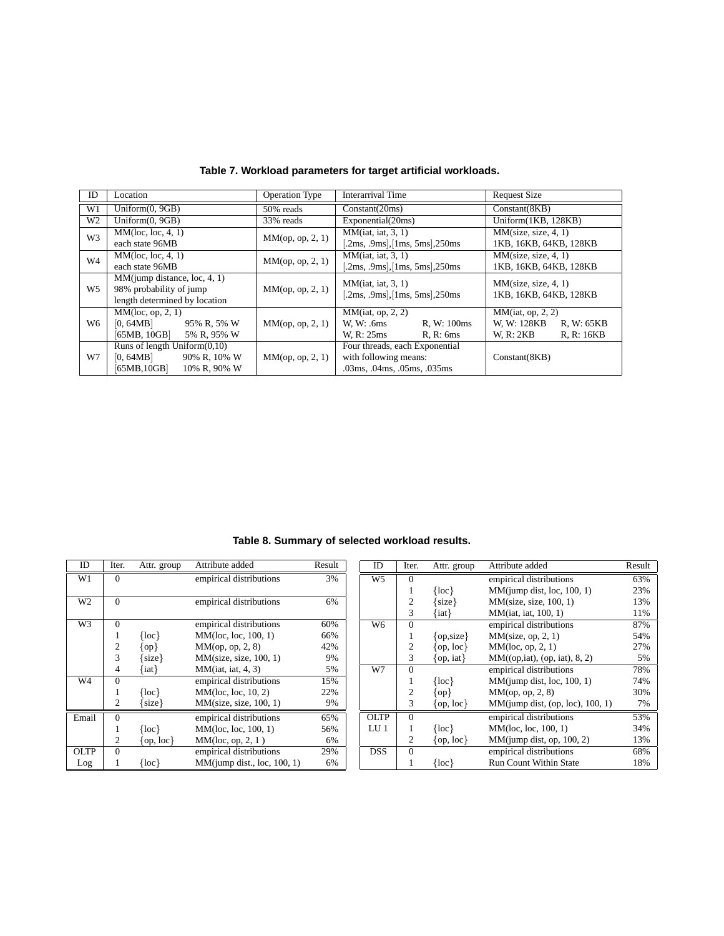| ID             | Location                                                                                    | <b>Operation Type</b> | <b>Interarrival Time</b>                                                               | <b>Request Size</b>                                                       |  |
|----------------|---------------------------------------------------------------------------------------------|-----------------------|----------------------------------------------------------------------------------------|---------------------------------------------------------------------------|--|
| W1             | Uniform $(0, 9GB)$                                                                          | 50% reads             | Constant(20ms)                                                                         | Constant(8KB)                                                             |  |
| W <sub>2</sub> | Uniform $(0, 9GB)$                                                                          | 33% reads             | Exponential(20ms)                                                                      | Uniform(1KB, 128KB)                                                       |  |
| W <sub>3</sub> | MM(loc, loc, 4, 1)<br>each state 96MB                                                       | MM(op, op, 2, 1)      | MM(tat, iat, 3, 1)<br>$2ms$ , $9ms$ , $1ms$ , $5ms$ , $250ms$                          | $\overline{\text{MM}(size, size, 4, 1)}$<br>1KB, 16KB, 64KB, 128KB        |  |
| W <sub>4</sub> | MM(loc, loc, 4, 1)<br>each state 96MB                                                       | MM(op, op, 2, 1)      | MM(tat, iat, 3, 1)<br>[.2ms, .9ms], [1ms, 5ms], 250ms]                                 | MM(size, size, 4, 1)<br>1KB, 16KB, 64KB, 128KB                            |  |
| W <sub>5</sub> | MM(iump distance, loc, 4, 1)<br>98% probability of jump<br>length determined by location    | MM(op, op, 2, 1)      | MM(tat, 1at, 3, 1)<br>[.2ms, .9ms], [1ms, 5ms], 250ms]                                 | MM(size, size, 4, 1)<br>1KB, 16KB, 64KB, 128KB                            |  |
| W6             | MM(loc, op, 2, 1)<br>[0, 64MB]<br>95% R, 5% W<br>[65MB, 10GB]<br>5% R, 95% W                | MM(op, op, 2, 1)      | MM(tat, op, 2, 2)<br>W, W: .6ms<br>R. W: 100ms<br>W. R: 25ms<br>R, R: 6ms              | MM(tat, op, 2, 2)<br>W. W: 128KB<br>R, W: 65KB<br>W. R: 2KB<br>R, R: 16KB |  |
| W7             | Runs of length $Uniform(0,10)$<br>[0, 64MB]<br>90% R, 10% W<br>[65MB, 10GB]<br>10% R, 90% W | MM(op, op, 2, 1)      | Four threads, each Exponential<br>with following means:<br>.03ms, .04ms, .05ms, .035ms | Constant(8KB)                                                             |  |

# **Table 7. Workload parameters for target artificial workloads.**

**Table 8. Summary of selected workload results.**

| ID              | Iter.          | Attr. group   | Attribute added             | Result |
|-----------------|----------------|---------------|-----------------------------|--------|
| $\overline{W}1$ | $\Omega$       |               | empirical distributions     | 3%     |
|                 |                |               |                             |        |
| W2              | $\theta$       |               | empirical distributions     | 6%     |
|                 |                |               |                             |        |
| W <sub>3</sub>  | $\Omega$       |               | empirical distributions     | 60%    |
|                 | 1              | $\{loc\}$     | MM(loc, loc, 100, 1)        | 66%    |
|                 | $\overline{2}$ | $\{op\}$      | MM(op, op, 2, 8)            | 42%    |
|                 | 3              | $\{size\}$    | MM(size, size, 100, 1)      | 9%     |
|                 | 4              | {iat}         | MM(tat, iat, 4, 3)          | 5%     |
| W4              | $\Omega$       |               | empirical distributions     | 15%    |
|                 | 1              | $\{loc\}$     | MM(loc, loc, 10, 2)         | 22%    |
|                 | 2              | {size}        | MM(size, size, 100, 1)      | 9%     |
| Email           | $\Omega$       |               | empirical distributions     | 65%    |
|                 |                | $\{loc\}$     | MM(loc, loc, 100, 1)        | 56%    |
|                 | $\overline{c}$ | $\{op, loc\}$ | MM(loc, op, 2, 1)           | 6%     |
| <b>OLTP</b>     | $\theta$       |               | empirical distributions     | 29%    |
| Log             |                | $\{loc\}$     | MM(iump dist., loc, 100, 1) | 6%     |

| ID              | Iter.          | Attr. group    | Attribute added                  | Result |
|-----------------|----------------|----------------|----------------------------------|--------|
| W5              | $\Omega$       |                | empirical distributions          | 63%    |
|                 |                | $\{loc\}$      | MM(iump dist, loc, 100, 1)       | 23%    |
|                 | $\overline{2}$ | $\{size\}$     | MM(size, size, 100, 1)           | 13%    |
|                 | 3              | $\{iat\}$      | MM(iat, iat, 100, 1)             | 11%    |
| W6              | $\Omega$       |                | empirical distributions          | 87%    |
|                 |                | $\{op, size\}$ | MM(size, op, 2, 1)               | 54%    |
|                 | $\overline{c}$ | $\{op, loc\}$  | MM(loc, op, 2, 1)                | 27%    |
|                 | 3              | $\{op, iat\}$  | MM((op,iat), (op, iat), 8, 2)    | 5%     |
| W7              | $\Omega$       |                | empirical distributions          | 78%    |
|                 |                | $\{loc\}$      | MM(iump dist, loc, 100, 1)       | 74%    |
|                 | $\overline{c}$ | $\{op\}$       | MM(op, op, 2, 8)                 | 30%    |
|                 | 3              | $\{op, loc\}$  | MM(jump dist, (op, loc), 100, 1) | 7%     |
| OLTP            | $\Omega$       |                | empirical distributions          | 53%    |
| LU <sub>1</sub> |                | $\{loc\}$      | MM(loc, loc, 100, 1)             | 34%    |
|                 | 2              | $\{op, loc\}$  | MM(iump dist, op, 100, 2)        | 13%    |
| DSS             | $\theta$       |                | empirical distributions          | 68%    |
|                 |                | $\{loc\}$      | <b>Run Count Within State</b>    | 18%    |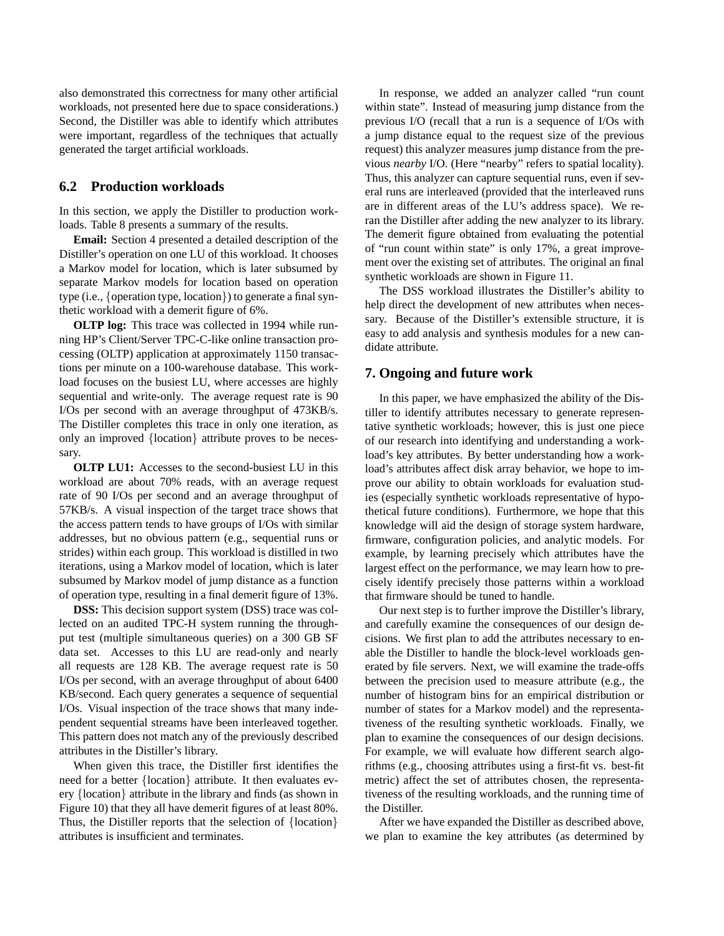also demonstrated this correctness for many other artificial workloads, not presented here due to space considerations.) Second, the Distiller was able to identify which attributes were important, regardless of the techniques that actually generated the target artificial workloads.

#### **6.2 Production workloads**

In this section, we apply the Distiller to production workloads. Table 8 presents a summary of the results.

**Email:** Section 4 presented a detailed description of the Distiller's operation on one LU of this workload. It chooses a Markov model for location, which is later subsumed by separate Markov models for location based on operation type (i.e., {operation type, location}) to generate a final synthetic workload with a demerit figure of 6%.

**OLTP log:** This trace was collected in 1994 while running HP's Client/Server TPC-C-like online transaction processing (OLTP) application at approximately 1150 transactions per minute on a 100-warehouse database. This workload focuses on the busiest LU, where accesses are highly sequential and write-only. The average request rate is 90 I/Os per second with an average throughput of 473KB/s. The Distiller completes this trace in only one iteration, as only an improved {location} attribute proves to be necessary.

**OLTP LU1:** Accesses to the second-busiest LU in this workload are about 70% reads, with an average request rate of 90 I/Os per second and an average throughput of 57KB/s. A visual inspection of the target trace shows that the access pattern tends to have groups of I/Os with similar addresses, but no obvious pattern (e.g., sequential runs or strides) within each group. This workload is distilled in two iterations, using a Markov model of location, which is later subsumed by Markov model of jump distance as a function of operation type, resulting in a final demerit figure of 13%.

**DSS:** This decision support system (DSS) trace was collected on an audited TPC-H system running the throughput test (multiple simultaneous queries) on a 300 GB SF data set. Accesses to this LU are read-only and nearly all requests are 128 KB. The average request rate is 50 I/Os per second, with an average throughput of about 6400 KB/second. Each query generates a sequence of sequential I/Os. Visual inspection of the trace shows that many independent sequential streams have been interleaved together. This pattern does not match any of the previously described attributes in the Distiller's library.

When given this trace, the Distiller first identifies the need for a better {location} attribute. It then evaluates every {location} attribute in the library and finds (as shown in Figure 10) that they all have demerit figures of at least 80%. Thus, the Distiller reports that the selection of {location} attributes is insufficient and terminates.

In response, we added an analyzer called "run count within state". Instead of measuring jump distance from the previous I/O (recall that a run is a sequence of I/Os with a jump distance equal to the request size of the previous request) this analyzer measures jump distance from the previous *nearby* I/O. (Here "nearby" refers to spatial locality). Thus, this analyzer can capture sequential runs, even if several runs are interleaved (provided that the interleaved runs are in different areas of the LU's address space). We reran the Distiller after adding the new analyzer to its library. The demerit figure obtained from evaluating the potential of "run count within state" is only 17%, a great improvement over the existing set of attributes. The original an final synthetic workloads are shown in Figure 11.

The DSS workload illustrates the Distiller's ability to help direct the development of new attributes when necessary. Because of the Distiller's extensible structure, it is easy to add analysis and synthesis modules for a new candidate attribute.

#### **7. Ongoing and future work**

In this paper, we have emphasized the ability of the Distiller to identify attributes necessary to generate representative synthetic workloads; however, this is just one piece of our research into identifying and understanding a workload's key attributes. By better understanding how a workload's attributes affect disk array behavior, we hope to improve our ability to obtain workloads for evaluation studies (especially synthetic workloads representative of hypothetical future conditions). Furthermore, we hope that this knowledge will aid the design of storage system hardware, firmware, configuration policies, and analytic models. For example, by learning precisely which attributes have the largest effect on the performance, we may learn how to precisely identify precisely those patterns within a workload that firmware should be tuned to handle.

Our next step is to further improve the Distiller's library, and carefully examine the consequences of our design decisions. We first plan to add the attributes necessary to enable the Distiller to handle the block-level workloads generated by file servers. Next, we will examine the trade-offs between the precision used to measure attribute (e.g., the number of histogram bins for an empirical distribution or number of states for a Markov model) and the representativeness of the resulting synthetic workloads. Finally, we plan to examine the consequences of our design decisions. For example, we will evaluate how different search algorithms (e.g., choosing attributes using a first-fit vs. best-fit metric) affect the set of attributes chosen, the representativeness of the resulting workloads, and the running time of the Distiller.

After we have expanded the Distiller as described above, we plan to examine the key attributes (as determined by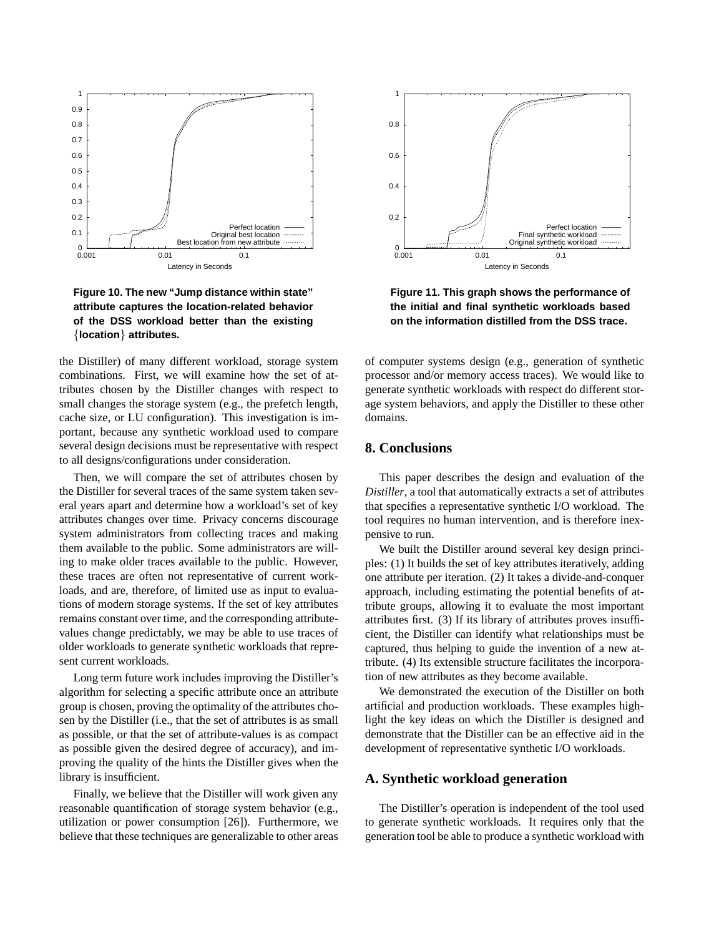

**Figure 10. The new "Jump distance within state" attribute captures the location-related behavior of the DSS workload better than the existing** {**location**} **attributes.**

the Distiller) of many different workload, storage system combinations. First, we will examine how the set of attributes chosen by the Distiller changes with respect to small changes the storage system (e.g., the prefetch length, cache size, or LU configuration). This investigation is important, because any synthetic workload used to compare several design decisions must be representative with respect to all designs/configurations under consideration.

Then, we will compare the set of attributes chosen by the Distiller for several traces of the same system taken several years apart and determine how a workload's set of key attributes changes over time. Privacy concerns discourage system administrators from collecting traces and making them available to the public. Some administrators are willing to make older traces available to the public. However, these traces are often not representative of current workloads, and are, therefore, of limited use as input to evaluations of modern storage systems. If the set of key attributes remains constant over time, and the corresponding attributevalues change predictably, we may be able to use traces of older workloads to generate synthetic workloads that represent current workloads.

Long term future work includes improving the Distiller's algorithm for selecting a specific attribute once an attribute group is chosen, proving the optimality of the attributes chosen by the Distiller (i.e., that the set of attributes is as small as possible, or that the set of attribute-values is as compact as possible given the desired degree of accuracy), and improving the quality of the hints the Distiller gives when the library is insufficient.

Finally, we believe that the Distiller will work given any reasonable quantification of storage system behavior (e.g., utilization or power consumption [26]). Furthermore, we believe that these techniques are generalizable to other areas



**Figure 11. This graph shows the performance of the initial and final synthetic workloads based on the information distilled from the DSS trace.**

of computer systems design (e.g., generation of synthetic processor and/or memory access traces). We would like to generate synthetic workloads with respect do different storage system behaviors, and apply the Distiller to these other domains.

### **8. Conclusions**

This paper describes the design and evaluation of the *Distiller*, a tool that automatically extracts a set of attributes that specifies a representative synthetic I/O workload. The tool requires no human intervention, and is therefore inexpensive to run.

We built the Distiller around several key design principles: (1) It builds the set of key attributes iteratively, adding one attribute per iteration. (2) It takes a divide-and-conquer approach, including estimating the potential benefits of attribute groups, allowing it to evaluate the most important attributes first. (3) If its library of attributes proves insufficient, the Distiller can identify what relationships must be captured, thus helping to guide the invention of a new attribute. (4) Its extensible structure facilitates the incorporation of new attributes as they become available.

We demonstrated the execution of the Distiller on both artificial and production workloads. These examples highlight the key ideas on which the Distiller is designed and demonstrate that the Distiller can be an effective aid in the development of representative synthetic I/O workloads.

### **A. Synthetic workload generation**

The Distiller's operation is independent of the tool used to generate synthetic workloads. It requires only that the generation tool be able to produce a synthetic workload with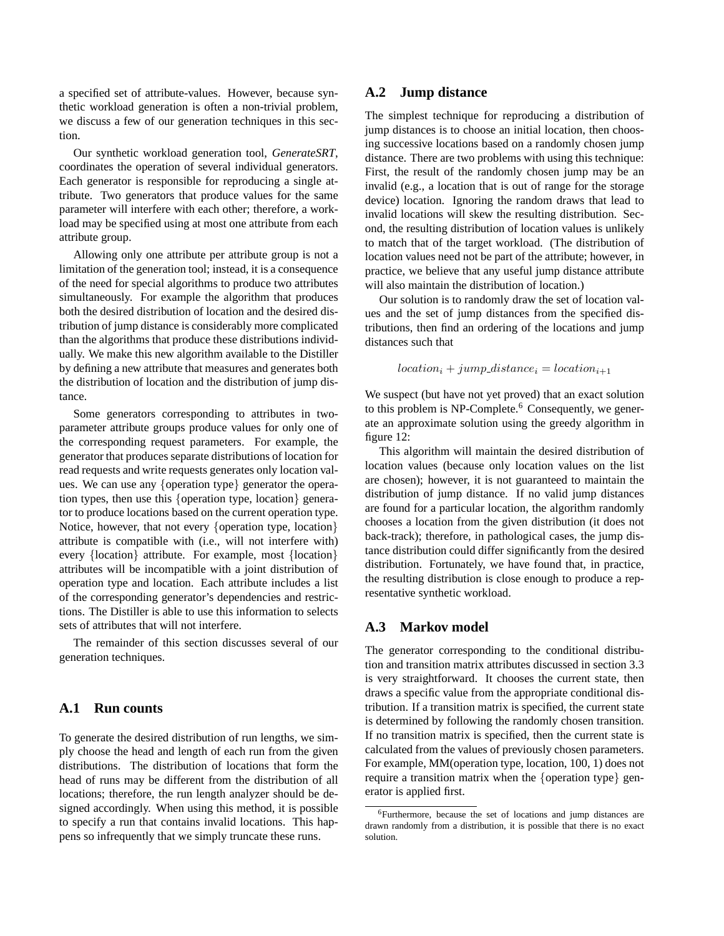a specified set of attribute-values. However, because synthetic workload generation is often a non-trivial problem, we discuss a few of our generation techniques in this section.

Our synthetic workload generation tool, *GenerateSRT*, coordinates the operation of several individual generators. Each generator is responsible for reproducing a single attribute. Two generators that produce values for the same parameter will interfere with each other; therefore, a workload may be specified using at most one attribute from each attribute group.

Allowing only one attribute per attribute group is not a limitation of the generation tool; instead, it is a consequence of the need for special algorithms to produce two attributes simultaneously. For example the algorithm that produces both the desired distribution of location and the desired distribution of jump distance is considerably more complicated than the algorithms that produce these distributions individually. We make this new algorithm available to the Distiller by defining a new attribute that measures and generates both the distribution of location and the distribution of jump distance.

Some generators corresponding to attributes in twoparameter attribute groups produce values for only one of the corresponding request parameters. For example, the generator that produces separate distributions of location for read requests and write requests generates only location values. We can use any {operation type} generator the operation types, then use this {operation type, location} generator to produce locations based on the current operation type. Notice, however, that not every {operation type, location} attribute is compatible with (i.e., will not interfere with) every {location} attribute. For example, most {location} attributes will be incompatible with a joint distribution of operation type and location. Each attribute includes a list of the corresponding generator's dependencies and restrictions. The Distiller is able to use this information to selects sets of attributes that will not interfere.

The remainder of this section discusses several of our generation techniques.

### **A.1 Run counts**

To generate the desired distribution of run lengths, we simply choose the head and length of each run from the given distributions. The distribution of locations that form the head of runs may be different from the distribution of all locations; therefore, the run length analyzer should be designed accordingly. When using this method, it is possible to specify a run that contains invalid locations. This happens so infrequently that we simply truncate these runs.

### **A.2 Jump distance**

The simplest technique for reproducing a distribution of jump distances is to choose an initial location, then choosing successive locations based on a randomly chosen jump distance. There are two problems with using this technique: First, the result of the randomly chosen jump may be an invalid (e.g., a location that is out of range for the storage device) location. Ignoring the random draws that lead to invalid locations will skew the resulting distribution. Second, the resulting distribution of location values is unlikely to match that of the target workload. (The distribution of location values need not be part of the attribute; however, in practice, we believe that any useful jump distance attribute will also maintain the distribution of location.)

Our solution is to randomly draw the set of location values and the set of jump distances from the specified distributions, then find an ordering of the locations and jump distances such that

 $location_i + jump\_distance_i = location_{i+1}$ 

We suspect (but have not yet proved) that an exact solution to this problem is NP-Complete.<sup>6</sup> Consequently, we generate an approximate solution using the greedy algorithm in figure 12:

This algorithm will maintain the desired distribution of location values (because only location values on the list are chosen); however, it is not guaranteed to maintain the distribution of jump distance. If no valid jump distances are found for a particular location, the algorithm randomly chooses a location from the given distribution (it does not back-track); therefore, in pathological cases, the jump distance distribution could differ significantly from the desired distribution. Fortunately, we have found that, in practice, the resulting distribution is close enough to produce a representative synthetic workload.

### **A.3 Markov model**

The generator corresponding to the conditional distribution and transition matrix attributes discussed in section 3.3 is very straightforward. It chooses the current state, then draws a specific value from the appropriate conditional distribution. If a transition matrix is specified, the current state is determined by following the randomly chosen transition. If no transition matrix is specified, then the current state is calculated from the values of previously chosen parameters. For example, MM(operation type, location, 100, 1) does not require a transition matrix when the {operation type} generator is applied first.

<sup>6</sup>Furthermore, because the set of locations and jump distances are drawn randomly from a distribution, it is possible that there is no exact solution.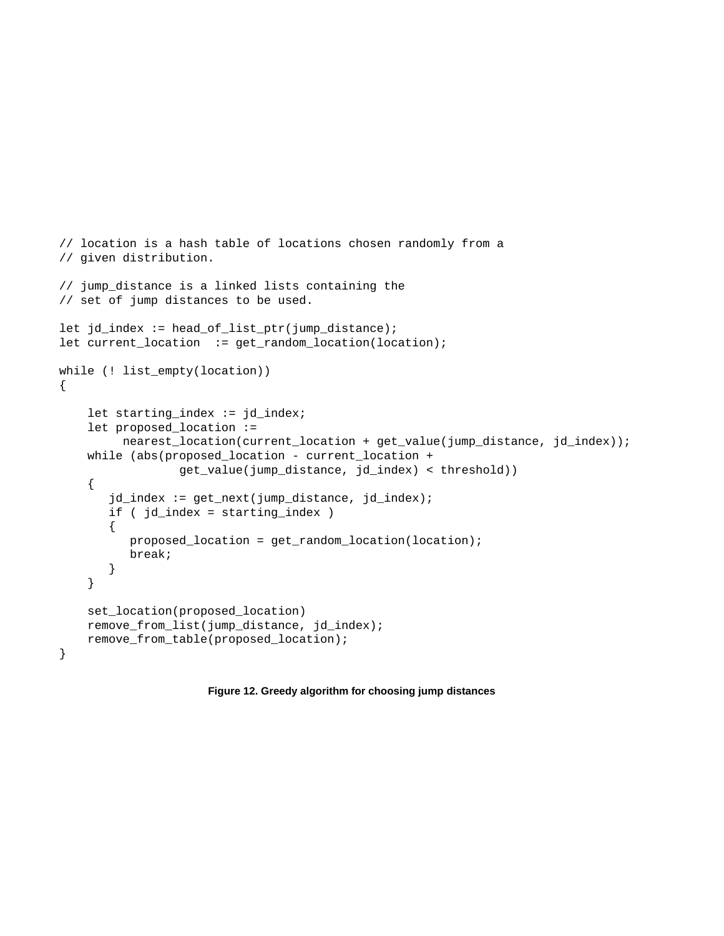```
// location is a hash table of locations chosen randomly from a
// given distribution.
// jump_distance is a linked lists containing the
// set of jump distances to be used.
let jd_index := head_of_list_ptr(jump_distance);
let current_location := get_random_location(location);
while (! list_empty(location))
{
    let starting_index := jd_index;
    let proposed_location :=
         nearest_location(current_location + get_value(jump_distance, jd_index));
    while (abs(proposed_location - current_location +
                 get_value(jump_distance, jd_index) < threshold))
    {
       jd_index := get_next(jump_distance, jd_index);
       if ( jd_index = starting_index )
       {
         proposed_location = get_random_location(location);
          break;
       }
    }
    set_location(proposed_location)
    remove_from_list(jump_distance, jd_index);
    remove_from_table(proposed_location);
}
```
**Figure 12. Greedy algorithm for choosing jump distances**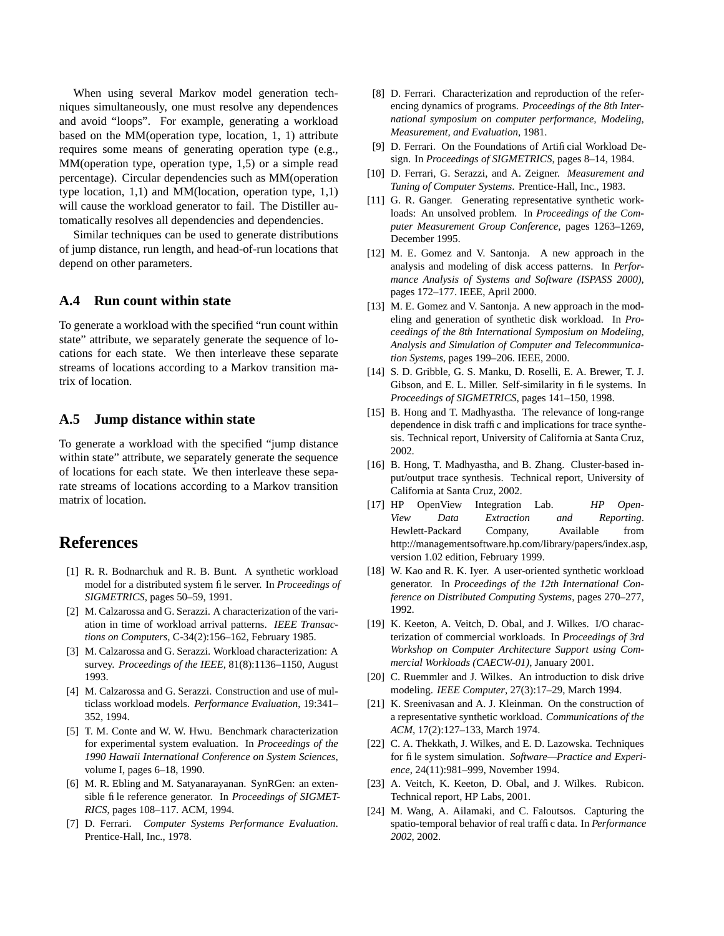When using several Markov model generation techniques simultaneously, one must resolve any dependences and avoid "loops". For example, generating a workload based on the MM(operation type, location, 1, 1) attribute requires some means of generating operation type (e.g., MM(operation type, operation type, 1,5) or a simple read percentage). Circular dependencies such as MM(operation type location, 1,1) and MM(location, operation type, 1,1) will cause the workload generator to fail. The Distiller automatically resolves all dependencies and dependencies.

Similar techniques can be used to generate distributions of jump distance, run length, and head-of-run locations that depend on other parameters.

### **A.4 Run count within state**

To generate a workload with the specified "run count within state" attribute, we separately generate the sequence of locations for each state. We then interleave these separate streams of locations according to a Markov transition matrix of location.

### **A.5 Jump distance within state**

To generate a workload with the specified "jump distance within state" attribute, we separately generate the sequence of locations for each state. We then interleave these separate streams of locations according to a Markov transition matrix of location.

# **References**

- [1] R. R. Bodnarchuk and R. B. Bunt. A synthetic workload model for a distributed system file server. In *Proceedings of SIGMETRICS*, pages 50–59, 1991.
- [2] M. Calzarossa and G. Serazzi. A characterization of the variation in time of workload arrival patterns. *IEEE Transactions on Computers*, C-34(2):156–162, February 1985.
- [3] M. Calzarossa and G. Serazzi. Workload characterization: A survey. *Proceedings of the IEEE*, 81(8):1136–1150, August 1993.
- [4] M. Calzarossa and G. Serazzi. Construction and use of multiclass workload models. *Performance Evaluation*, 19:341– 352, 1994.
- [5] T. M. Conte and W. W. Hwu. Benchmark characterization for experimental system evaluation. In *Proceedings of the 1990 Hawaii International Conference on System Sciences*, volume I, pages 6–18, 1990.
- [6] M. R. Ebling and M. Satyanarayanan. SynRGen: an extensible file reference generator. In *Proceedings of SIGMET-RICS*, pages 108–117. ACM, 1994.
- [7] D. Ferrari. *Computer Systems Performance Evaluation*. Prentice-Hall, Inc., 1978.
- [8] D. Ferrari. Characterization and reproduction of the referencing dynamics of programs. *Proceedings of the 8th International symposium on computer performance, Modeling, Measurement, and Evaluation*, 1981.
- [9] D. Ferrari. On the Foundations of Artificial Workload Design. In *Proceedings of SIGMETRICS*, pages 8–14, 1984.
- [10] D. Ferrari, G. Serazzi, and A. Zeigner. *Measurement and Tuning of Computer Systems*. Prentice-Hall, Inc., 1983.
- [11] G. R. Ganger. Generating representative synthetic workloads: An unsolved problem. In *Proceedings of the Computer Measurement Group Conference*, pages 1263–1269, December 1995.
- [12] M. E. Gomez and V. Santonja. A new approach in the analysis and modeling of disk access patterns. In *Performance Analysis of Systems and Software (ISPASS 2000)*, pages 172–177. IEEE, April 2000.
- [13] M. E. Gomez and V. Santonja. A new approach in the modeling and generation of synthetic disk workload. In *Proceedings of the 8th International Symposium on Modeling, Analysis and Simulation of Computer and Telecommunication Systems*, pages 199–206. IEEE, 2000.
- [14] S. D. Gribble, G. S. Manku, D. Roselli, E. A. Brewer, T. J. Gibson, and E. L. Miller. Self-similarity in file systems. In *Proceedings of SIGMETRICS*, pages 141–150, 1998.
- [15] B. Hong and T. Madhyastha. The relevance of long-range dependence in disk traffic and implications for trace synthesis. Technical report, University of California at Santa Cruz, 2002.
- [16] B. Hong, T. Madhyastha, and B. Zhang. Cluster-based input/output trace synthesis. Technical report, University of California at Santa Cruz, 2002.
- [17] HP OpenView Integration Lab. *HP Open-View Data Extraction and Reporting*. Hewlett-Packard Company, Available from http://managementsoftware.hp.com/library/papers/index.asp, version 1.02 edition, February 1999.
- [18] W. Kao and R. K. Iyer. A user-oriented synthetic workload generator. In *Proceedings of the 12th International Conference on Distributed Computing Systems*, pages 270–277, 1992.
- [19] K. Keeton, A. Veitch, D. Obal, and J. Wilkes. I/O characterization of commercial workloads. In *Proceedings of 3rd Workshop on Computer Architecture Support using Commercial Workloads (CAECW-01)*, January 2001.
- [20] C. Ruemmler and J. Wilkes. An introduction to disk drive modeling. *IEEE Computer*, 27(3):17–29, March 1994.
- [21] K. Sreenivasan and A. J. Kleinman. On the construction of a representative synthetic workload. *Communications of the ACM*, 17(2):127–133, March 1974.
- [22] C. A. Thekkath, J. Wilkes, and E. D. Lazowska. Techniques for file system simulation. *Software—Practice and Experience*, 24(11):981–999, November 1994.
- [23] A. Veitch, K. Keeton, D. Obal, and J. Wilkes. Rubicon. Technical report, HP Labs, 2001.
- [24] M. Wang, A. Ailamaki, and C. Faloutsos. Capturing the spatio-temporal behavior of real traffic data. In *Performance 2002*, 2002.